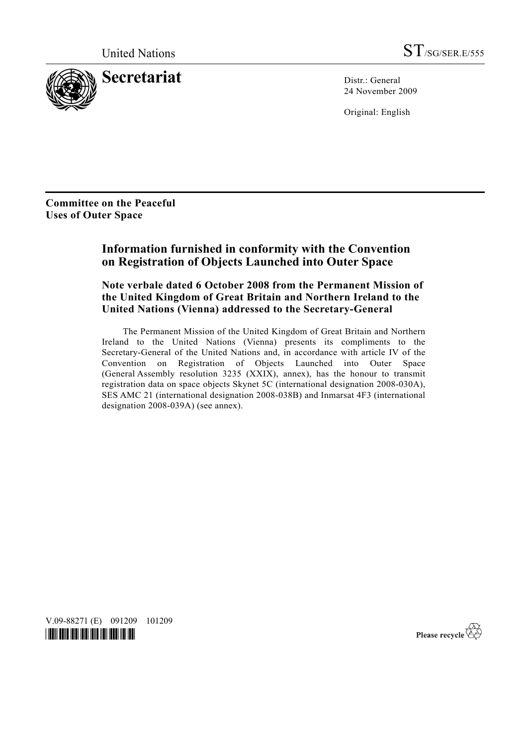

24 November 2009

Original: English

**Committee on the Peaceful Uses of Outer Space** 

## **Information furnished in conformity with the Convention on Registration of Objects Launched into Outer Space**

## **Note verbale dated 6 October 2008 from the Permanent Mission of the United Kingdom of Great Britain and Northern Ireland to the United Nations (Vienna) addressed to the Secretary-General**

 The Permanent Mission of the United Kingdom of Great Britain and Northern Ireland to the United Nations (Vienna) presents its compliments to the Secretary-General of the United Nations and, in accordance with article IV of the Convention on Registration of Objects Launched into Outer Space (General Assembly resolution 3235 (XXIX), annex), has the honour to transmit registration data on space objects Skynet 5C (international designation 2008-030A), SES AMC 21 (international designation 2008-038B) and Inmarsat 4F3 (international designation 2008-039A) (see annex).

V.09-88271 (E) 091209 101209 *\*0988271\**